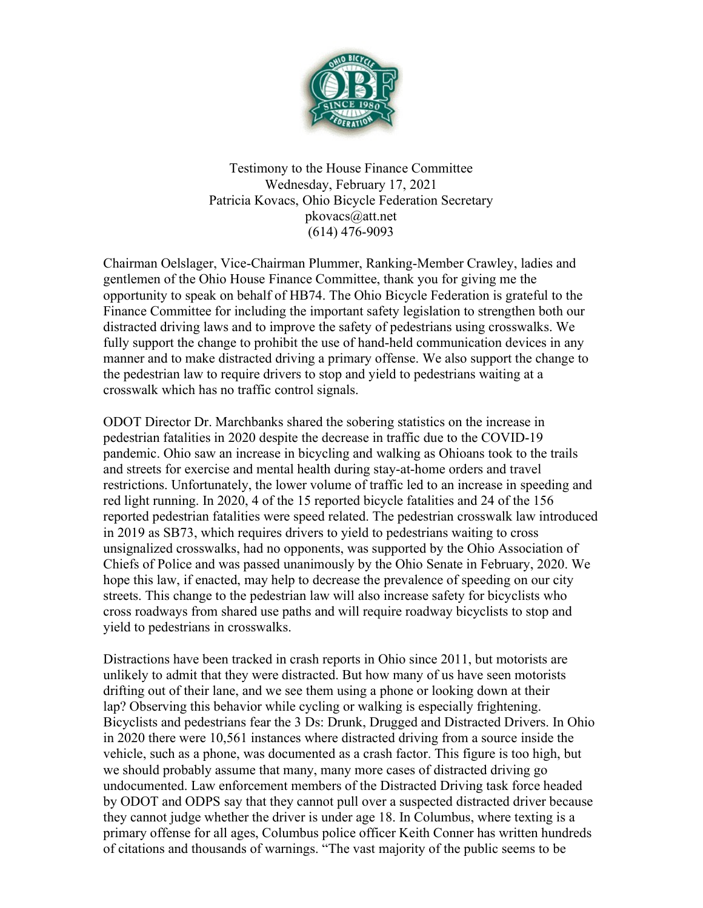

Testimony to the House Finance Committee Wednesday, February 17, 2021 Patricia Kovacs, Ohio Bicycle Federation Secretary pkovacs@att.net (614) 476-9093

Chairman Oelslager, Vice-Chairman Plummer, Ranking-Member Crawley, ladies and gentlemen of the Ohio House Finance Committee, thank you for giving me the opportunity to speak on behalf of HB74. The Ohio Bicycle Federation is grateful to the Finance Committee for including the important safety legislation to strengthen both our distracted driving laws and to improve the safety of pedestrians using crosswalks. We fully support the change to prohibit the use of hand-held communication devices in any manner and to make distracted driving a primary offense. We also support the change to the pedestrian law to require drivers to stop and yield to pedestrians waiting at a crosswalk which has no traffic control signals.

ODOT Director Dr. Marchbanks shared the sobering statistics on the increase in pedestrian fatalities in 2020 despite the decrease in traffic due to the COVID-19 pandemic. Ohio saw an increase in bicycling and walking as Ohioans took to the trails and streets for exercise and mental health during stay-at-home orders and travel restrictions. Unfortunately, the lower volume of traffic led to an increase in speeding and red light running. In 2020, 4 of the 15 reported bicycle fatalities and 24 of the 156 reported pedestrian fatalities were speed related. The pedestrian crosswalk law introduced in 2019 as SB73, which requires drivers to yield to pedestrians waiting to cross unsignalized crosswalks, had no opponents, was supported by the Ohio Association of Chiefs of Police and was passed unanimously by the Ohio Senate in February, 2020. We hope this law, if enacted, may help to decrease the prevalence of speeding on our city streets. This change to the pedestrian law will also increase safety for bicyclists who cross roadways from shared use paths and will require roadway bicyclists to stop and yield to pedestrians in crosswalks.

Distractions have been tracked in crash reports in Ohio since 2011, but motorists are unlikely to admit that they were distracted. But how many of us have seen motorists drifting out of their lane, and we see them using a phone or looking down at their lap? Observing this behavior while cycling or walking is especially frightening. Bicyclists and pedestrians fear the 3 Ds: Drunk, Drugged and Distracted Drivers. In Ohio in 2020 there were 10,561 instances where distracted driving from a source inside the vehicle, such as a phone, was documented as a crash factor. This figure is too high, but we should probably assume that many, many more cases of distracted driving go undocumented. Law enforcement members of the Distracted Driving task force headed by ODOT and ODPS say that they cannot pull over a suspected distracted driver because they cannot judge whether the driver is under age 18. In Columbus, where texting is a primary offense for all ages, Columbus police officer Keith Conner has written hundreds of citations and thousands of warnings. "The vast majority of the public seems to be